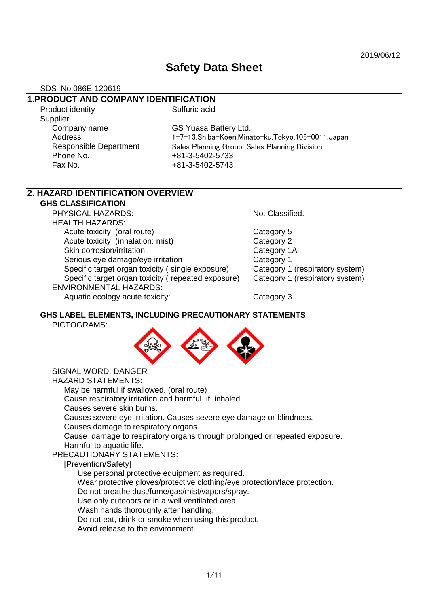# **Safety Data Sheet**

#### SDS No.086E-120619

## **1.PRODUCT AND COMPANY IDENTIFICATION**

Product identity **Sulfuric acid Supplier** Company name GS Yuasa Battery Ltd. Phone No. 481-3-5402-5733 Fax No. +81-3-5402-5743

Address 1-7-13,Shiba-Koen,Minato-ku,Tokyo,105-0011,Japan Responsible Department Sales Planning Group, Sales Planning Division

# **2. HAZARD IDENTIFICATION OVERVIEW**

**GHS CLASSIFICATION**

PHYSICAL HAZARDS: Not Classified. HEALTH HAZARDS: Acute toxicity (oral route) Category 5 Acute toxicity (inhalation: mist) Category 2 Skin corrosion/irritation Category 1A Serious eye damage/eye irritation example of Category 1 Specific target organ toxicity (single exposure) Category 1 (respiratory system) Specific target organ toxicity ( repeated exposure) Category 1 (respiratory system) ENVIRONMENTAL HAZARDS: Aquatic ecology acute toxicity: Category 3

#### **GHS LABEL ELEMENTS, INCLUDING PRECAUTIONARY STATEMENTS** PICTOGRAMS:



SIGNAL WORD: DANGER

HAZARD STATEMENTS:

May be harmful if swallowed. (oral route) Cause respiratory irritation and harmful if inhaled.

Causes severe skin burns.

Causes severe eye irritation. Causes severe eye damage or blindness.

Causes damage to respiratory organs.

Cause damage to respiratory organs through prolonged or repeated exposure. Harmful to aquatic life.

PRECAUTIONARY STATEMENTS:

#### [Prevention/Safety]

Use personal protective equipment as required.

Wear protective gloves/protective clothing/eye protection/face protection.

Do not breathe dust/fume/gas/mist/vapors/spray.

Use only outdoors or in a well ventilated area.

Wash hands thoroughly after handling.

Do not eat, drink or smoke when using this product.

Avoid release to the environment.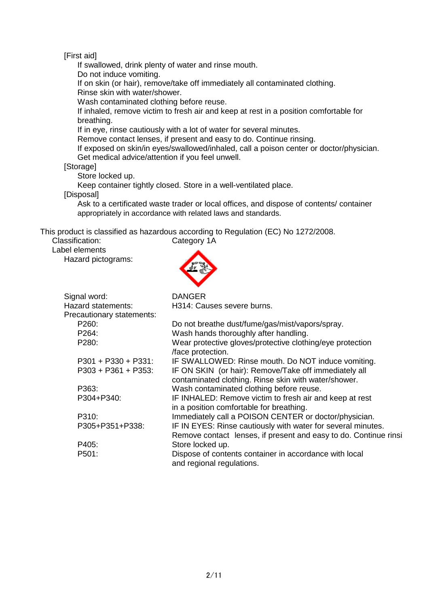[First aid]

If swallowed, drink plenty of water and rinse mouth.

Do not induce vomiting.

If on skin (or hair), remove/take off immediately all contaminated clothing. Rinse skin with water/shower.

Wash contaminated clothing before reuse.

If inhaled, remove victim to fresh air and keep at rest in a position comfortable for breathing.

If in eye, rinse cautiously with a lot of water for several minutes.

Remove contact lenses, if present and easy to do. Continue rinsing.

If exposed on skin/in eyes/swallowed/inhaled, call a poison center or doctor/physician. Get medical advice/attention if you feel unwell.

#### [Storage]

Store locked up.

Keep container tightly closed. Store in a well-ventilated place.

[Disposal]

Ask to a certificated waste trader or local offices, and dispose of contents/ container appropriately in accordance with related laws and standards.

This product is classified as hazardous according to Regulation (EC) No 1272/2008.

Classification: Category 1A

Label elements

Hazard pictograms:



| Signal word:              | <b>DANGER</b>                                                                  |
|---------------------------|--------------------------------------------------------------------------------|
| Hazard statements:        | H314: Causes severe burns.                                                     |
| Precautionary statements: |                                                                                |
| P260:                     | Do not breathe dust/fume/gas/mist/vapors/spray.                                |
| P264:                     | Wash hands thoroughly after handling.                                          |
| P280:                     | Wear protective gloves/protective clothing/eye protection<br>/face protection. |
| $P301 + P330 + P331$ :    | IF SWALLOWED: Rinse mouth. Do NOT induce vomiting.                             |
| $P303 + P361 + P353$      | IF ON SKIN (or hair): Remove/Take off immediately all                          |
|                           | contaminated clothing. Rinse skin with water/shower.                           |
| P363:                     | Wash contaminated clothing before reuse.                                       |
| P304+P340:                | IF INHALED: Remove victim to fresh air and keep at rest                        |
|                           | in a position comfortable for breathing.                                       |
| P310:                     | Immediately call a POISON CENTER or doctor/physician.                          |
|                           |                                                                                |
| P305+P351+P338:           | IF IN EYES: Rinse cautiously with water for several minutes.                   |
|                           | Remove contact lenses, if present and easy to do. Continue rinsi               |
| P405:                     | Store locked up.                                                               |
| P501:                     | Dispose of contents container in accordance with local                         |
|                           | and regional regulations.                                                      |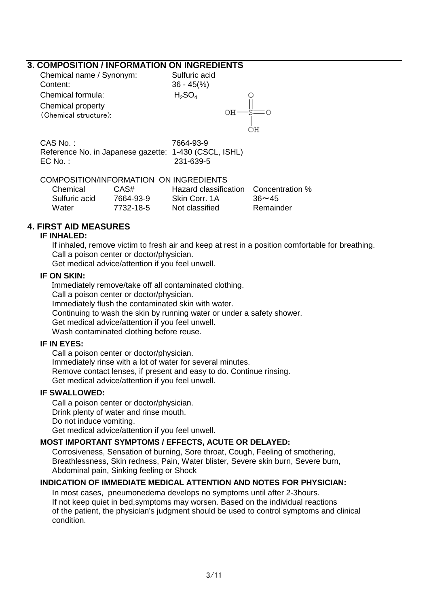## **3. COMPOSITION / INFORMATION ON INGREDIENTS**

| Chemical name / Synonym:<br>Content:<br>Chemical formula:<br>Chemical property<br>(Chemical structure): | Sulfuric acid<br>$36 - 45\frac{6}{6}$<br>$H_2SO_4$ | OН | ΟH                                    |
|---------------------------------------------------------------------------------------------------------|----------------------------------------------------|----|---------------------------------------|
| CAS No.:<br>Reference No. in Japanese gazette: 1-430 (CSCL, ISHL)<br>$EC$ No. :                         | 7664-93-9<br>231-639-5                             |    |                                       |
| COMPOSITION/INFORMATION ON INGREDIENTS<br>CAS#<br>Chemical                                              |                                                    |    | Hazard classification Concentration % |

# Sulfuric acid 7664-93-9 Skin Corr. 1A 36~45 Water 7732-18-5 Not classified Remainder

## **4. FIRST AID MEASURES**

#### **IF INHALED:**

If inhaled, remove victim to fresh air and keep at rest in a position comfortable for breathing. Call a poison center or doctor/physician.

Get medical advice/attention if you feel unwell.

#### **IF ON SKIN:**

Immediately remove/take off all contaminated clothing. Call a poison center or doctor/physician. Immediately flush the contaminated skin with water. Continuing to wash the skin by running water or under a safety shower. Get medical advice/attention if you feel unwell. Wash contaminated clothing before reuse.

#### **IF IN EYES:**

Call a poison center or doctor/physician. Immediately rinse with a lot of water for several minutes. Remove contact lenses, if present and easy to do. Continue rinsing. Get medical advice/attention if you feel unwell.

#### **IF SWALLOWED:**

Call a poison center or doctor/physician. Drink plenty of water and rinse mouth. Do not induce vomiting. Get medical advice/attention if you feel unwell.

#### **MOST IMPORTANT SYMPTOMS / EFFECTS, ACUTE OR DELAYED:**

Corrosiveness, Sensation of burning, Sore throat, Cough, Feeling of smothering, Breathlessness, Skin redness, Pain, Water blister, Severe skin burn, Severe burn, Abdominal pain, Sinking feeling or Shock

#### **INDICATION OF IMMEDIATE MEDICAL ATTENTION AND NOTES FOR PHYSICIAN:**

In most cases, pneumonedema develops no symptoms until after 2-3hours. If not keep quiet in bed,symptoms may worsen. Based on the individual reactions of the patient, the physician's judgment should be used to control symptoms and clinical condition.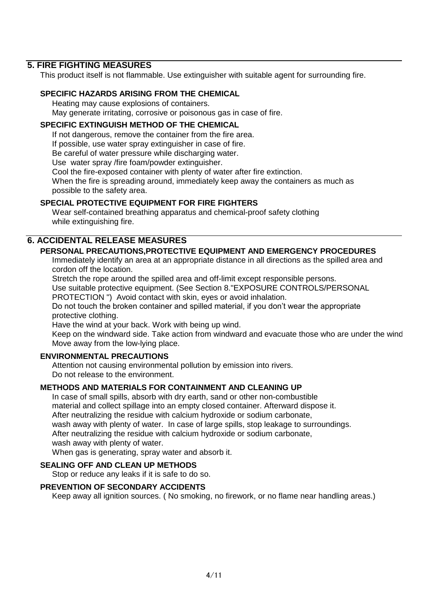## **5. FIRE FIGHTING MEASURES**

This product itself is not flammable. Use extinguisher with suitable agent for surrounding fire.

#### **SPECIFIC HAZARDS ARISING FROM THE CHEMICAL**

Heating may cause explosions of containers. May generate irritating, corrosive or poisonous gas in case of fire.

#### **SPECIFIC EXTINGUISH METHOD OF THE CHEMICAL**

If not dangerous, remove the container from the fire area.

If possible, use water spray extinguisher in case of fire.

Be careful of water pressure while discharging water.

Use water spray /fire foam/powder extinguisher.

Cool the fire-exposed container with plenty of water after fire extinction.

When the fire is spreading around, immediately keep away the containers as much as possible to the safety area.

## **SPECIAL PROTECTIVE EQUIPMENT FOR FIRE FIGHTERS**

Wear self-contained breathing apparatus and chemical-proof safety clothing while extinguishing fire.

## **6. ACCIDENTAL RELEASE MEASURES**

## **PERSONAL PRECAUTIONS,PROTECTIVE EQUIPMENT AND EMERGENCY PROCEDURES**

Immediately identify an area at an appropriate distance in all directions as the spilled area and cordon off the location.

Stretch the rope around the spilled area and off-limit except responsible persons.

Use suitable protective equipment. (See Section 8."EXPOSURE CONTROLS/PERSONAL

PROTECTION ") Avoid contact with skin, eyes or avoid inhalation.

Do not touch the broken container and spilled material, if you don't wear the appropriate protective clothing.

Have the wind at your back. Work with being up wind.

Keep on the windward side. Take action from windward and evacuate those who are under the wind. Move away from the low-lying place.

#### **ENVIRONMENTAL PRECAUTIONS**

Attention not causing environmental pollution by emission into rivers. Do not release to the environment.

#### **METHODS AND MATERIALS FOR CONTAINMENT AND CLEANING UP**

In case of small spills, absorb with dry earth, sand or other non-combustible material and collect spillage into an empty closed container. Afterward dispose it. After neutralizing the residue with calcium hydroxide or sodium carbonate, wash away with plenty of water. In case of large spills, stop leakage to surroundings. After neutralizing the residue with calcium hydroxide or sodium carbonate, wash away with plenty of water.

When gas is generating, spray water and absorb it.

#### **SEALING OFF AND CLEAN UP METHODS**

Stop or reduce any leaks if it is safe to do so.

## **PREVENTION OF SECONDARY ACCIDENTS**

Keep away all ignition sources. ( No smoking, no firework, or no flame near handling areas.)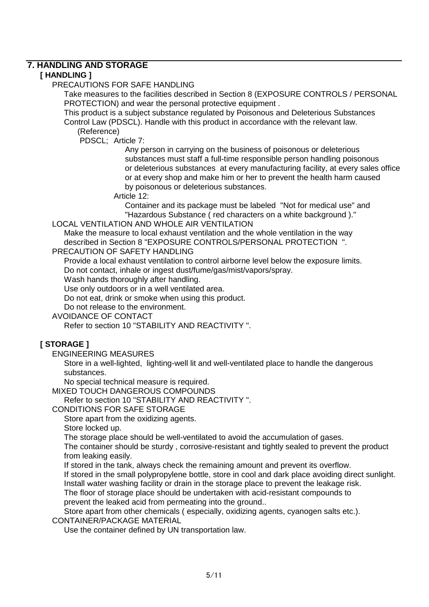## **7. HANDLING AND STORAGE**

## **[ HANDLING ]**

PRECAUTIONS FOR SAFE HANDLING

Take measures to the facilities described in Section 8 (EXPOSURE CONTROLS / PERSONAL PROTECTION) and wear the personal protective equipment .

This product is a subject substance regulated by Poisonous and Deleterious Substances Control Law (PDSCL). Handle with this product in accordance with the relevant law.

(Reference)

PDSCL; Article 7:

 Any person in carrying on the business of poisonous or deleterious substances must staff a full-time responsible person handling poisonous or deleterious substances at every manufacturing facility, at every sales office or at every shop and make him or her to prevent the health harm caused by poisonous or deleterious substances.

Article 12:

 Container and its package must be labeled "Not for medical use" and "Hazardous Substance ( red characters on a white background )."

## LOCAL VENTILATION AND WHOLE AIR VENTILATION

Make the measure to local exhaust ventilation and the whole ventilation in the way described in Section 8 "EXPOSURE CONTROLS/PERSONAL PROTECTION ".

PRECAUTION OF SAFETY HANDLING

Provide a local exhaust ventilation to control airborne level below the exposure limits. Do not contact, inhale or ingest dust/fume/gas/mist/vapors/spray.

Wash hands thoroughly after handling.

Use only outdoors or in a well ventilated area.

Do not eat, drink or smoke when using this product.

Do not release to the environment.

AVOIDANCE OF CONTACT

Refer to section 10 "STABILITY AND REACTIVITY ".

## **[ STORAGE ]**

ENGINEERING MEASURES

Store in a well-lighted, lighting-well lit and well-ventilated place to handle the dangerous substances.

No special technical measure is required.

MIXED TOUCH DANGEROUS COMPOUNDS

Refer to section 10 "STABILITY AND REACTIVITY ".

CONDITIONS FOR SAFE STORAGE

Store apart from the oxidizing agents.

Store locked up.

The storage place should be well-ventilated to avoid the accumulation of gases.

The container should be sturdy , corrosive-resistant and tightly sealed to prevent the product from leaking easily.

If stored in the tank, always check the remaining amount and prevent its overflow.

If stored in the small polypropylene bottle, store in cool and dark place avoiding direct sunlight. Install water washing facility or drain in the storage place to prevent the leakage risk.

The floor of storage place should be undertaken with acid-resistant compounds to prevent the leaked acid from permeating into the ground..

Store apart from other chemicals ( especially, oxidizing agents, cyanogen salts etc.). CONTAINER/PACKAGE MATERIAL

Use the container defined by UN transportation law.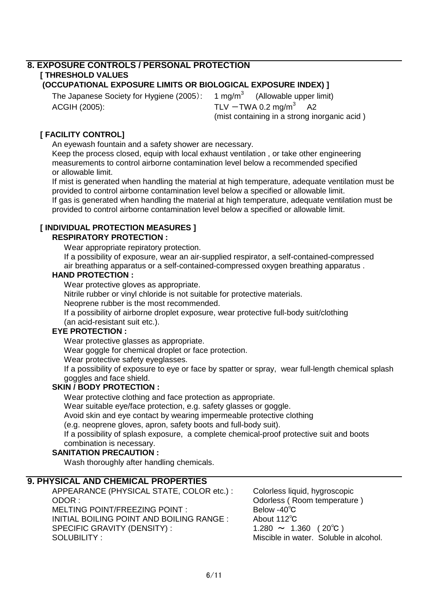#### **8. EXPOSURE CONTROLS / PERSONAL PROTECTION [ THRESHOLD VALUES (OCCUPATIONAL EXPOSURE LIMITS OR BIOLOGICAL EXPOSURE INDEX) ]**

The Japanese Society for Hygiene (2005):  $1 \text{ mg/m}^3$  (Allowable upper limit)  $ACGH (2005):$   $TLV - TWA 0.2 mg/m<sup>3</sup>$ 

 A2 (mist containing in a strong inorganic acid )

## **[ FACILITY CONTROL]**

An eyewash fountain and a safety shower are necessary.

Keep the process closed, equip with local exhaust ventilation , or take other engineering measurements to control airborne contamination level below a recommended specified or allowable limit.

If mist is generated when handling the material at high temperature, adequate ventilation must be provided to control airborne contamination level below a specified or allowable limit. If gas is generated when handling the material at high temperature, adequate ventilation must be provided to control airborne contamination level below a specified or allowable limit.

## **[ INDIVIDUAL PROTECTION MEASURES ]**

## **RESPIRATORY PROTECTION :**

Wear appropriate repiratory protection.

If a possibility of exposure, wear an air-supplied respirator, a self-contained-compressed air breathing apparatus or a self-contained-compressed oxygen breathing apparatus .

#### **HAND PROTECTION :**

Wear protective gloves as appropriate.

Nitrile rubber or vinyl chloride is not suitable for protective materials.

Neoprene rubber is the most recommended.

If a possibility of airborne droplet exposure, wear protective full-body suit/clothing

(an acid-resistant suit etc.).

## **EYE PROTECTION :**

Wear protective glasses as appropriate.

Wear goggle for chemical droplet or face protection.

Wear protective safety eveglasses.

If a possibility of exposure to eye or face by spatter or spray, wear full-length chemical splash goggles and face shield.

#### **SKIN / BODY PROTECTION :**

Wear protective clothing and face protection as appropriate.

Wear suitable eye/face protection, e.g. safety glasses or goggle.

Avoid skin and eye contact by wearing impermeable protective clothing

(e.g. neoprene gloves, apron, safety boots and full-body suit).

If a possibility of splash exposure, a complete chemical-proof protective suit and boots combination is necessary.

## **SANITATION PRECAUTION :**

Wash thoroughly after handling chemicals.

## **9. PHYSICAL AND CHEMICAL PROPERTIES**

APPEARANCE (PHYSICAL STATE, COLOR etc.) : Colorless liquid, hygroscopic ODOR : ODOR : Odorless ( Room temperature ) MELTING POINT/FREEZING POINT : Below -40℃ INITIAL BOILING POINT AND BOILING RANGE : About 112℃ SPECIFIC GRAVITY (DENSITY) :  $1.280 \sim 1.360$  (20°C) SOLUBILITY : Miscible in water. Soluble in alcohol.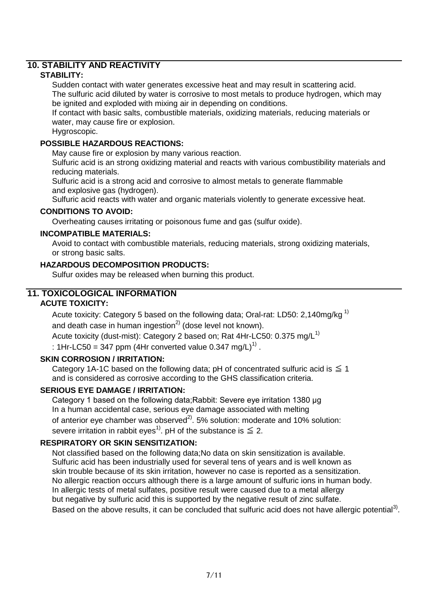## **10. STABILITY AND REACTIVITY**

## **STABILITY:**

Sudden contact with water generates excessive heat and may result in scattering acid. The sulfuric acid diluted by water is corrosive to most metals to produce hydrogen, which may

be ignited and exploded with mixing air in depending on conditions.

If contact with basic salts, combustible materials, oxidizing materials, reducing materials or water, may cause fire or explosion.

Hygroscopic.

## **POSSIBLE HAZARDOUS REACTIONS:**

May cause fire or explosion by many various reaction.

Sulfuric acid is an strong oxidizing material and reacts with various combustibility materials and reducing materials.

Sulfuric acid is a strong acid and corrosive to almost metals to generate flammable and explosive gas (hydrogen).

Sulfuric acid reacts with water and organic materials violently to generate excessive heat.

## **CONDITIONS TO AVOID:**

Overheating causes irritating or poisonous fume and gas (sulfur oxide).

## **INCOMPATIBLE MATERIALS:**

Avoid to contact with combustible materials, reducing materials, strong oxidizing materials, or strong basic salts.

## **HAZARDOUS DECOMPOSITION PRODUCTS:**

Sulfur oxides may be released when burning this product.

## **11. TOXICOLOGICAL INFORMATION**

## **ACUTE TOXICITY:**

Acute toxicity: Category 5 based on the following data; Oral-rat: LD50: 2,140mg/kg<sup>1)</sup> and death case in human ingestion $^{2)}$  (dose level not known).

Acute toxicity (dust-mist): Category 2 based on; Rat 4Hr-LC50:  $0.375 \text{ mg/L}^{1}$ 

: 1Hr-LC50 = 347 ppm (4Hr converted value 0.347 mg/L)<sup>1)</sup>.

## **SKIN CORROSION / IRRITATION:**

Category 1A-1C based on the following data; pH of concentrated sulfuric acid is  $\leq 1$ and is considered as corrosive according to the GHS classification criteria.

## **SERIOUS EYE DAMAGE / IRRITATION:**

Category 1 based on the following data;Rabbit: Severe eye irritation 1380 μg In a human accidental case, serious eye damage associated with melting of anterior eye chamber was observed<sup>2)</sup>. 5% solution: moderate and 10% solution: severe irritation in rabbit eyes<sup>1)</sup>. pH of the substance is  $\leq 2$ .

## **RESPIRATORY OR SKIN SENSITIZATION:**

Not classified based on the following data;No data on skin sensitization is available. Sulfuric acid has been industrially used for several tens of years and is well known as skin trouble because of its skin irritation, however no case is reported as a sensitization. No allergic reaction occurs although there is a large amount of sulfuric ions in human body. In allergic tests of metal sulfates, positive result were caused due to a metal allergy but negative by sulfuric acid this is supported by the negative result of zinc sulfate. Based on the above results, it can be concluded that sulfuric acid does not have allergic potential<sup>3)</sup>.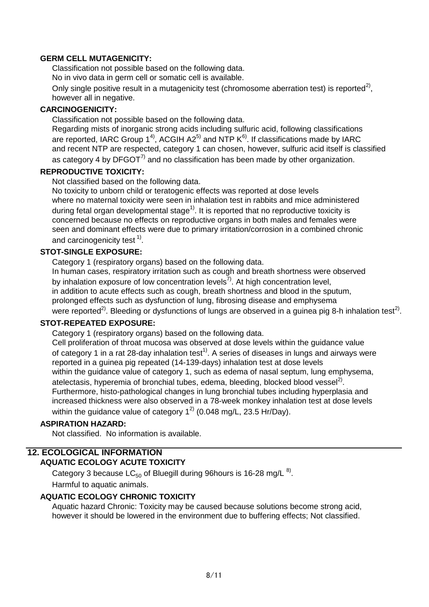#### **GERM CELL MUTAGENICITY:**

Classification not possible based on the following data.

No in vivo data in germ cell or somatic cell is available.

Only single positive result in a mutagenicity test (chromosome aberration test) is reported<sup>2)</sup>, however all in negative.

## **CARCINOGENICITY:**

Classification not possible based on the following data.

Regarding mists of inorganic strong acids including sulfuric acid, following classifications are reported, IARC Group  $1^4$ , ACGIH A2<sup>5)</sup> and NTP  $K^{6}$ . If classifications made by IARC and recent NTP are respected, category 1 can chosen, however, sulfuric acid itself is classified as category 4 by DFGOT $<sup>7</sup>$  and no classification has been made by other organization.</sup>

## **REPRODUCTIVE TOXICITY:**

Not classified based on the following data.

No toxicity to unborn child or teratogenic effects was reported at dose levels where no maternal toxicity were seen in inhalation test in rabbits and mice administered during fetal organ developmental stage<sup>1)</sup>. It is reported that no reproductive toxicity is concerned because no effects on reproductive organs in both males and females were seen and dominant effects were due to primary irritation/corrosion in a combined chronic and carcinogenicity test  $^{1)}$ .

## **STOT-SINGLE EXPOSURE:**

Category 1 (respiratory organs) based on the following data.

In human cases, respiratory irritation such as cough and breath shortness were observed by inhalation exposure of low concentration levels<sup>7)</sup>. At high concentration level, in addition to acute effects such as cough, breath shortness and blood in the sputum, prolonged effects such as dysfunction of lung, fibrosing disease and emphysema were reported<sup>2)</sup>. Bleeding or dysfunctions of lungs are observed in a guinea pig 8-h inhalation test<sup>2)</sup>.

## **STOT-REPEATED EXPOSURE:**

Category 1 (respiratory organs) based on the following data.

Cell proliferation of throat mucosa was observed at dose levels within the guidance value of category 1 in a rat 28-day inhalation test<sup>1)</sup>. A series of diseases in lungs and airways were reported in a guinea pig repeated (14-139-days) inhalation test at dose levels within the quidance value of category 1, such as edema of nasal septum, lung emphysema, atelectasis, hyperemia of bronchial tubes, edema, bleeding, blocked blood vessel<sup>2)</sup>. Furthermore, histo-pathological changes in lung bronchial tubes including hyperplasia and increased thickness were also observed in a 78-week monkey inhalation test at dose levels within the guidance value of category  $1^{2}$  (0.048 mg/L, 23.5 Hr/Day).

## **ASPIRATION HAZARD:**

Not classified. No information is available.

## **12. ECOLOGICAL INFORMATION**

## **AQUATIC ECOLOGY ACUTE TOXICITY**

Category 3 because LC<sub>50</sub> of Bluegill during 96hours is 16-28 mg/L  $^{8}$ . Harmful to aquatic animals.

## **AQUATIC ECOLOGY CHRONIC TOXICITY**

Aquatic hazard Chronic: Toxicity may be caused because solutions become strong acid, however it should be lowered in the environment due to buffering effects; Not classified.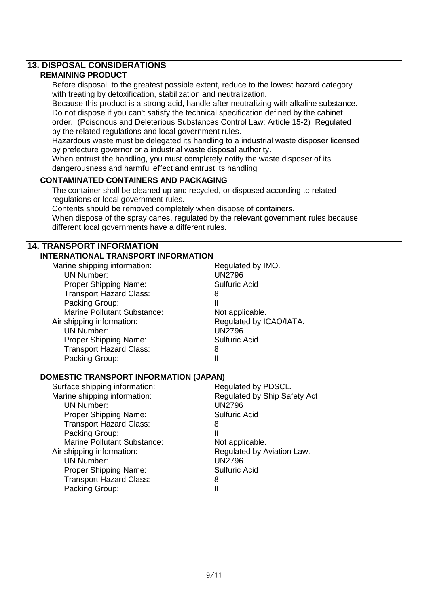## **13. DISPOSAL CONSIDERATIONS**

## **REMAINING PRODUCT**

Before disposal, to the greatest possible extent, reduce to the lowest hazard category with treating by detoxification, stabilization and neutralization.

Because this product is a strong acid, handle after neutralizing with alkaline substance. Do not dispose if you can't satisfy the technical specification defined by the cabinet order. (Poisonous and Deleterious Substances Control Law; Article 15-2) Regulated by the related regulations and local government rules.

Hazardous waste must be delegated its handling to a industrial waste disposer licensed by prefecture governor or a industrial waste disposal authority.

When entrust the handling, you must completely notify the waste disposer of its dangerousness and harmful effect and entrust its handling

## **CONTAMINATED CONTAINERS AND PACKAGING**

The container shall be cleaned up and recycled, or disposed according to related regulations or local government rules.

Contents should be removed completely when dispose of containers.

When dispose of the spray canes, regulated by the relevant government rules because different local governments have a different rules.

## **14. TRANSPORT INFORMATION**

## **INTERNATIONAL TRANSPORT INFORMATION**

| Marine shipping information:       | Regulated by IMO.       |
|------------------------------------|-------------------------|
| <b>UN Number:</b>                  | <b>UN2796</b>           |
| Proper Shipping Name:              | <b>Sulfuric Acid</b>    |
| <b>Transport Hazard Class:</b>     | 8                       |
| Packing Group:                     | Ш                       |
| <b>Marine Pollutant Substance:</b> | Not applicable.         |
| Air shipping information:          | Regulated by ICAO/IATA. |
| <b>UN Number:</b>                  | <b>UN2796</b>           |
| Proper Shipping Name:              | <b>Sulfuric Acid</b>    |
| <b>Transport Hazard Class:</b>     | 8                       |
| Packing Group:                     | Ш                       |
|                                    |                         |

#### **DOMESTIC TRANSPORT INFORMATION (JAPAN)**

| Regulated by PDSCL.          |  |  |
|------------------------------|--|--|
| Regulated by Ship Safety Act |  |  |
| <b>UN2796</b>                |  |  |
| <b>Sulfuric Acid</b>         |  |  |
| 8                            |  |  |
| Ш                            |  |  |
| Not applicable.              |  |  |
| Regulated by Aviation Law.   |  |  |
| <b>UN2796</b>                |  |  |
| <b>Sulfuric Acid</b>         |  |  |
| 8                            |  |  |
| Ш                            |  |  |
|                              |  |  |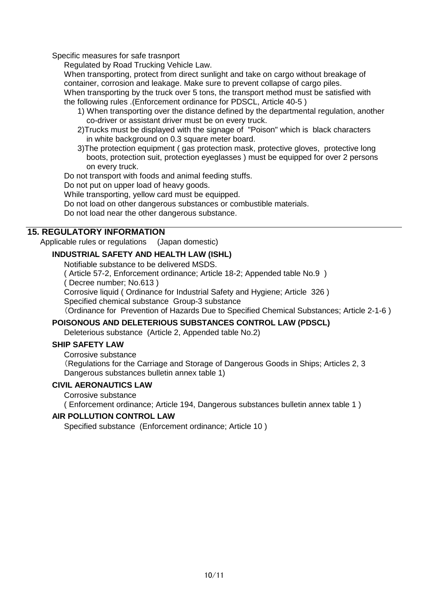Specific measures for safe trasnport

Regulated by Road Trucking Vehicle Law.

When transporting, protect from direct sunlight and take on cargo without breakage of container, corrosion and leakage. Make sure to prevent collapse of cargo piles.

When transporting by the truck over 5 tons, the transport method must be satisfied with the following rules .(Enforcement ordinance for PDSCL, Article 40-5 )

- 1) When transporting over the distance defined by the departmental regulation, another co-driver or assistant driver must be on every truck.
- 2)Trucks must be displayed with the signage of "Poison" which is black characters in white background on 0.3 square meter board.
- 3)The protection equipment ( gas protection mask, protective gloves, protective long boots, protection suit, protection eyeglasses ) must be equipped for over 2 persons on every truck.

Do not transport with foods and animal feeding stuffs.

Do not put on upper load of heavy goods.

While transporting, yellow card must be equipped.

Do not load on other dangerous substances or combustible materials.

Do not load near the other dangerous substance.

#### **15. REGULATORY INFORMATION**

Applicable rules or regulations (Japan domestic)

#### **INDUSTRIAL SAFETY AND HEALTH LAW (ISHL)**

Notifiable substance to be delivered MSDS.

( Article 57-2, Enforcement ordinance; Article 18-2; Appended table No.9 )

( Decree number; No.613 )

Corrosive liquid ( Ordinance for Industrial Safety and Hygiene; Article 326 )

Specified chemical substance Group-3 substance

(Ordinance for Prevention of Hazards Due to Specified Chemical Substances; Article 2-1-6 )

#### **POISONOUS AND DELETERIOUS SUBSTANCES CONTROL LAW (PDSCL)**

Deleterious substance (Article 2, Appended table No.2)

## **SHIP SAFETY LAW**

Corrosive substance (Regulations for the Carriage and Storage of Dangerous Goods in Ships; Articles 2, 3 Dangerous substances bulletin annex table 1)

#### **CIVIL AERONAUTICS LAW**

Corrosive substance

( Enforcement ordinance; Article 194, Dangerous substances bulletin annex table 1 )

#### **AIR POLLUTION CONTROL LAW**

Specified substance (Enforcement ordinance; Article 10 )